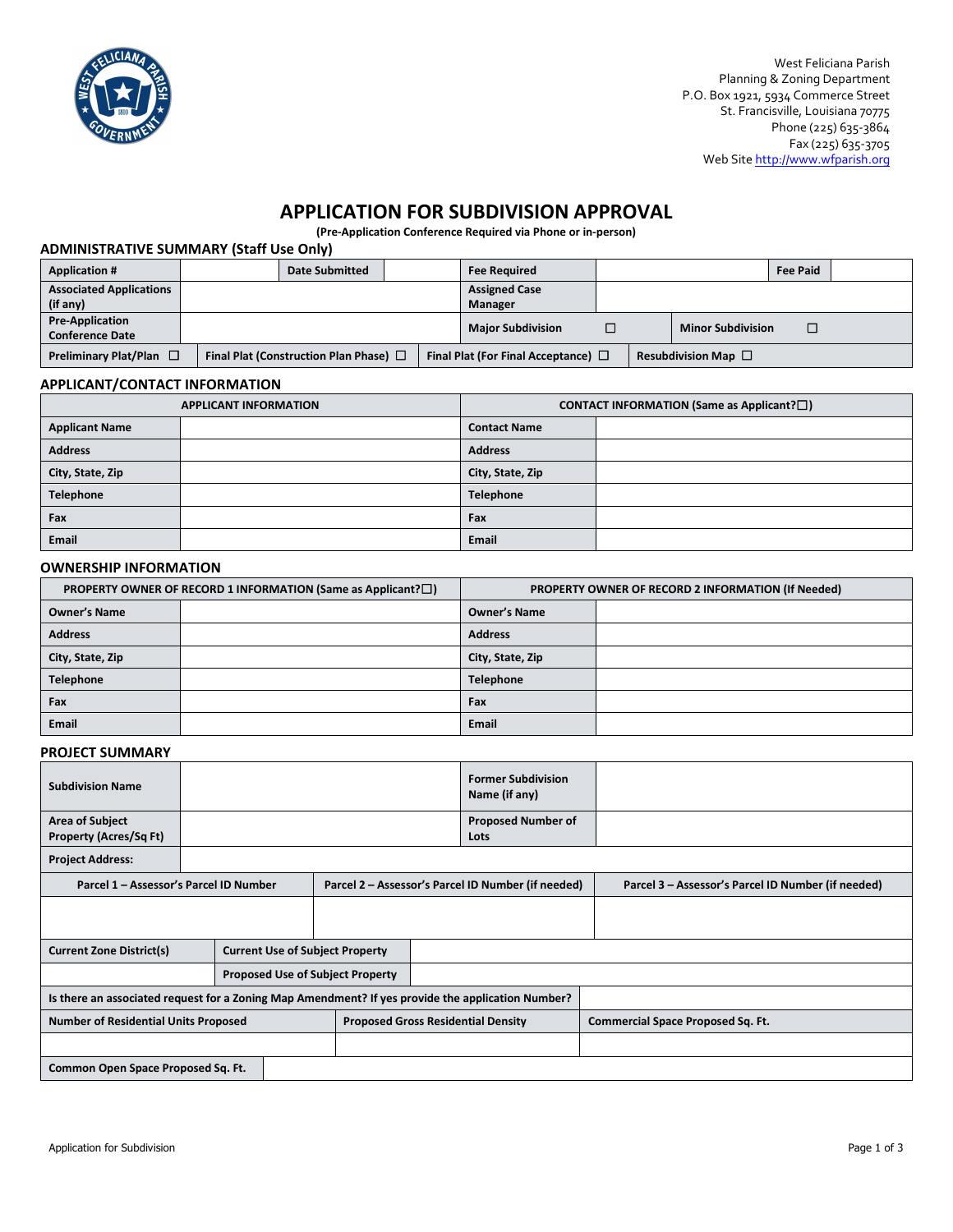

West Feliciana Parish Planning & Zoning Department P.O. Box 1921, 5934 Commerce Street St. Francisville, Louisiana 70775 Phone (225) 635-3864 Fax (225) 635-3705 Web Sit[e http://www.wfparish.org](http://www.wfparish.org/) 

# **APPLICATION FOR SUBDIVISION APPROVAL**

**(Pre-Application Conference Required via Phone or in-person)**

### **ADMINISTRATIVE SUMMARY (Staff Use Only)**

| <b>Application #</b>                                                        |  | <b>Date Submitted</b>                    |  | <b>Fee Required</b>         |  |                          | <b>Fee Paid</b> |  |
|-----------------------------------------------------------------------------|--|------------------------------------------|--|-----------------------------|--|--------------------------|-----------------|--|
| <b>Associated Applications</b>                                              |  |                                          |  | <b>Assigned Case</b>        |  |                          |                 |  |
| (if any)                                                                    |  |                                          |  | Manager                     |  |                          |                 |  |
| <b>Pre-Application</b>                                                      |  |                                          |  | <b>Major Subdivision</b>    |  | <b>Minor Subdivision</b> |                 |  |
| <b>Conference Date</b>                                                      |  |                                          |  |                             |  |                          |                 |  |
| Preliminary Plat/Plan $\Box$<br>Final Plat (Construction Plan Phase) $\Box$ |  | Final Plat (For Final Acceptance) $\Box$ |  | Resubdivision Map $\square$ |  |                          |                 |  |

#### **APPLICANT/CONTACT INFORMATION**

|                       | <b>APPLICANT INFORMATION</b> | <b>CONTACT INFORMATION (Same as Applicant?<math>\Box</math>)</b> |  |  |  |  |
|-----------------------|------------------------------|------------------------------------------------------------------|--|--|--|--|
| <b>Applicant Name</b> |                              | <b>Contact Name</b>                                              |  |  |  |  |
| <b>Address</b>        |                              | <b>Address</b>                                                   |  |  |  |  |
| City, State, Zip      |                              | City, State, Zip                                                 |  |  |  |  |
| <b>Telephone</b>      |                              | <b>Telephone</b>                                                 |  |  |  |  |
| Fax                   |                              | Fax                                                              |  |  |  |  |
| Email                 |                              | <b>Email</b>                                                     |  |  |  |  |

#### **OWNERSHIP INFORMATION**

|                     | PROPERTY OWNER OF RECORD 1 INFORMATION (Same as Applicant? $\square$ ) | PROPERTY OWNER OF RECORD 2 INFORMATION (If Needed) |  |  |
|---------------------|------------------------------------------------------------------------|----------------------------------------------------|--|--|
| <b>Owner's Name</b> |                                                                        | <b>Owner's Name</b>                                |  |  |
| <b>Address</b>      |                                                                        | <b>Address</b>                                     |  |  |
| City, State, Zip    |                                                                        | City, State, Zip                                   |  |  |
| <b>Telephone</b>    |                                                                        | <b>Telephone</b>                                   |  |  |
| Fax                 |                                                                        | Fax                                                |  |  |
| <b>Email</b>        |                                                                        | <b>Email</b>                                       |  |  |

#### **PROJECT SUMMARY**

| <b>Subdivision Name</b>                                                                           |                                         |  |                                                    |  |                                   | <b>Former Subdivision</b><br>Name (if any)         |  |
|---------------------------------------------------------------------------------------------------|-----------------------------------------|--|----------------------------------------------------|--|-----------------------------------|----------------------------------------------------|--|
| <b>Area of Subject</b><br><b>Property (Acres/Sq Ft)</b>                                           |                                         |  |                                                    |  | <b>Proposed Number of</b><br>Lots |                                                    |  |
| <b>Project Address:</b>                                                                           |                                         |  |                                                    |  |                                   |                                                    |  |
| Parcel 1 - Assessor's Parcel ID Number                                                            |                                         |  | Parcel 2 - Assessor's Parcel ID Number (if needed) |  |                                   | Parcel 3 - Assessor's Parcel ID Number (if needed) |  |
|                                                                                                   |                                         |  |                                                    |  |                                   |                                                    |  |
| <b>Current Zone District(s)</b>                                                                   | <b>Current Use of Subject Property</b>  |  |                                                    |  |                                   |                                                    |  |
|                                                                                                   | <b>Proposed Use of Subject Property</b> |  |                                                    |  |                                   |                                                    |  |
| Is there an associated request for a Zoning Map Amendment? If yes provide the application Number? |                                         |  |                                                    |  |                                   |                                                    |  |
| <b>Number of Residential Units Proposed</b>                                                       |                                         |  | <b>Proposed Gross Residential Density</b>          |  |                                   | <b>Commercial Space Proposed Sq. Ft.</b>           |  |
|                                                                                                   |                                         |  |                                                    |  |                                   |                                                    |  |
| Common Open Space Proposed Sq. Ft.                                                                |                                         |  |                                                    |  |                                   |                                                    |  |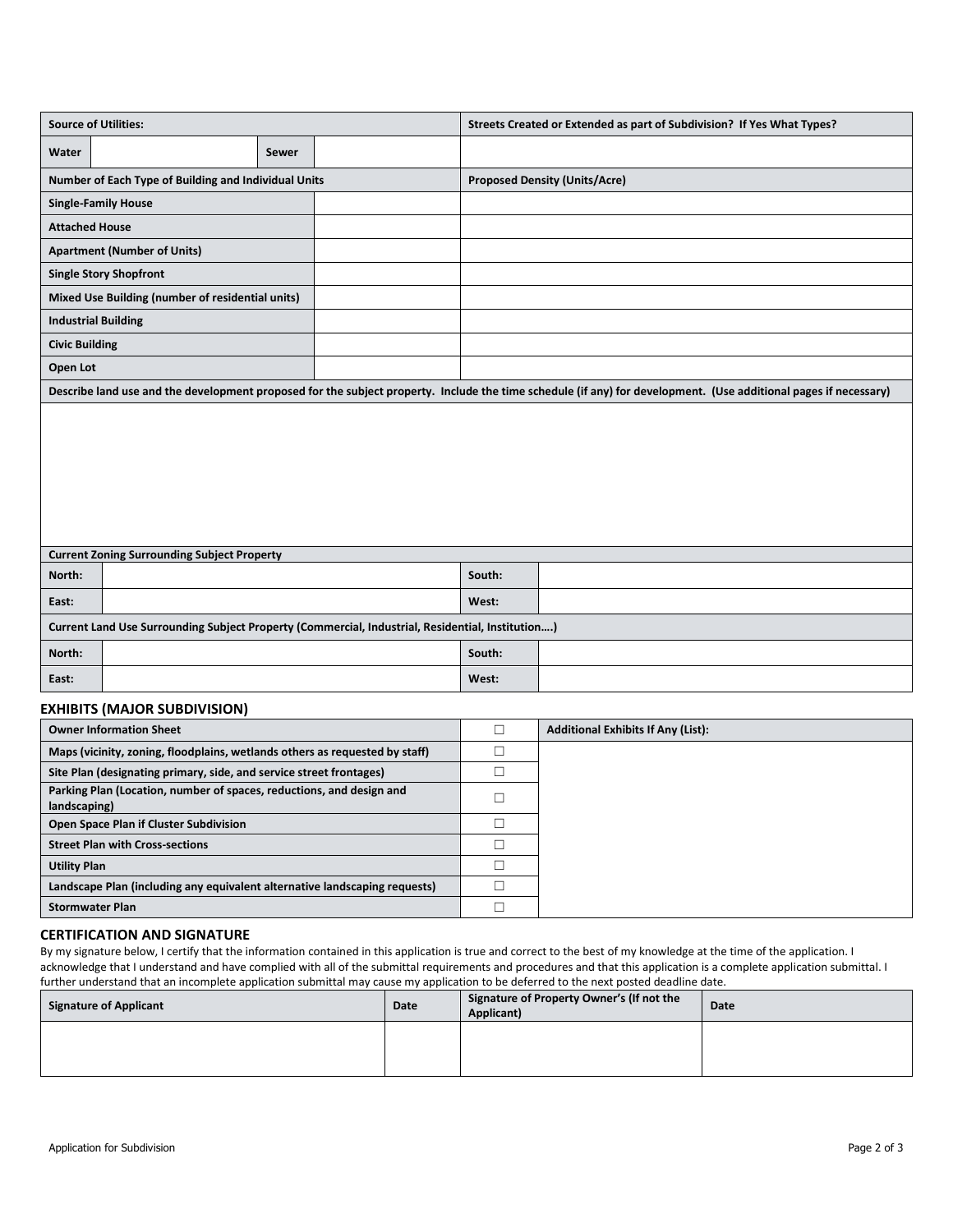| <b>Source of Utilities:</b>                                                                                                                                      |       |  | Streets Created or Extended as part of Subdivision? If Yes What Types? |                                      |  |  |  |
|------------------------------------------------------------------------------------------------------------------------------------------------------------------|-------|--|------------------------------------------------------------------------|--------------------------------------|--|--|--|
| Water                                                                                                                                                            | Sewer |  |                                                                        |                                      |  |  |  |
| Number of Each Type of Building and Individual Units                                                                                                             |       |  |                                                                        | <b>Proposed Density (Units/Acre)</b> |  |  |  |
| <b>Single-Family House</b>                                                                                                                                       |       |  |                                                                        |                                      |  |  |  |
| <b>Attached House</b>                                                                                                                                            |       |  |                                                                        |                                      |  |  |  |
| <b>Apartment (Number of Units)</b>                                                                                                                               |       |  |                                                                        |                                      |  |  |  |
| <b>Single Story Shopfront</b>                                                                                                                                    |       |  |                                                                        |                                      |  |  |  |
| Mixed Use Building (number of residential units)                                                                                                                 |       |  |                                                                        |                                      |  |  |  |
| <b>Industrial Building</b>                                                                                                                                       |       |  |                                                                        |                                      |  |  |  |
| <b>Civic Building</b>                                                                                                                                            |       |  |                                                                        |                                      |  |  |  |
| Open Lot                                                                                                                                                         |       |  |                                                                        |                                      |  |  |  |
| Describe land use and the development proposed for the subject property. Include the time schedule (if any) for development. (Use additional pages if necessary) |       |  |                                                                        |                                      |  |  |  |
|                                                                                                                                                                  |       |  |                                                                        |                                      |  |  |  |
| <b>Current Zoning Surrounding Subject Property</b>                                                                                                               |       |  |                                                                        |                                      |  |  |  |
| North:                                                                                                                                                           |       |  | South:                                                                 |                                      |  |  |  |
| East:                                                                                                                                                            |       |  | West:                                                                  |                                      |  |  |  |
| Current Land Use Surrounding Subject Property (Commercial, Industrial, Residential, Institution)                                                                 |       |  |                                                                        |                                      |  |  |  |
| North:                                                                                                                                                           |       |  | South:                                                                 |                                      |  |  |  |
| East:                                                                                                                                                            |       |  | West:                                                                  |                                      |  |  |  |
| <b>EXHIBITS (MAJOR SUBDIVISION)</b>                                                                                                                              |       |  |                                                                        |                                      |  |  |  |

| <b>Owner Information Sheet</b>                                                       | <b>Additional Exhibits If Any (List):</b> |
|--------------------------------------------------------------------------------------|-------------------------------------------|
| Maps (vicinity, zoning, floodplains, wetlands others as requested by staff)          |                                           |
| Site Plan (designating primary, side, and service street frontages)                  |                                           |
| Parking Plan (Location, number of spaces, reductions, and design and<br>landscaping) |                                           |
| Open Space Plan if Cluster Subdivision                                               |                                           |
| <b>Street Plan with Cross-sections</b>                                               |                                           |
| <b>Utility Plan</b>                                                                  |                                           |
| Landscape Plan (including any equivalent alternative landscaping requests)           |                                           |
| <b>Stormwater Plan</b>                                                               |                                           |

### **CERTIFICATION AND SIGNATURE**

By my signature below, I certify that the information contained in this application is true and correct to the best of my knowledge at the time of the application. I acknowledge that I understand and have complied with all of the submittal requirements and procedures and that this application is a complete application submittal. I further understand that an incomplete application submittal may cause my application to be deferred to the next posted deadline date.

| <b>Signature of Applicant</b> | Date | Signature of Property Owner's (If not the<br>Applicant) | Date |
|-------------------------------|------|---------------------------------------------------------|------|
|                               |      |                                                         |      |
|                               |      |                                                         |      |